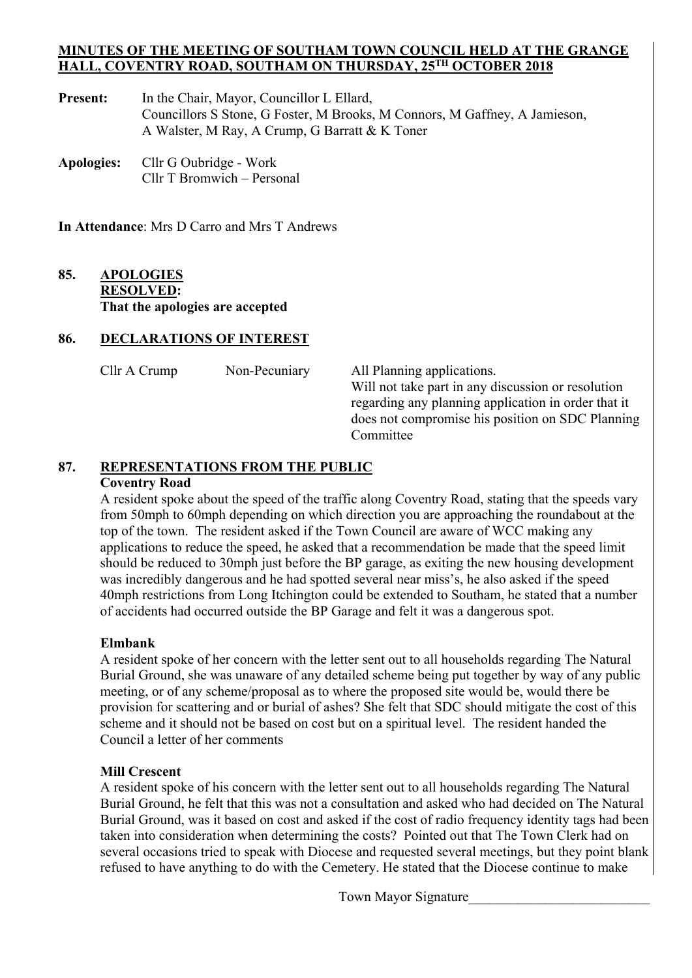#### **MINUTES OF THE MEETING OF SOUTHAM TOWN COUNCIL HELD AT THE GRANGE HALL, COVENTRY ROAD, SOUTHAM ON THURSDAY, 25TH OCTOBER 2018**

Present: In the Chair, Mayor, Councillor L Ellard, Councillors S Stone, G Foster, M Brooks, M Connors, M Gaffney, A Jamieson, A Walster, M Ray, A Crump, G Barratt & K Toner

**Apologies:** Cllr G Oubridge - Work Cllr T Bromwich – Personal

**In Attendance**: Mrs D Carro and Mrs T Andrews

### **85. APOLOGIES RESOLVED: That the apologies are accepted**

#### **86. DECLARATIONS OF INTEREST**

| Cllr A Crump | Non-Pecuniar |
|--------------|--------------|
|--------------|--------------|

y All Planning applications. Will not take part in any discussion or resolution regarding any planning application in order that it does not compromise his position on SDC Planning Committee

#### **87. REPRESENTATIONS FROM THE PUBLIC**

### **Coventry Road**

 A resident spoke about the speed of the traffic along Coventry Road, stating that the speeds vary from 50mph to 60mph depending on which direction you are approaching the roundabout at the top of the town. The resident asked if the Town Council are aware of WCC making any applications to reduce the speed, he asked that a recommendation be made that the speed limit should be reduced to 30mph just before the BP garage, as exiting the new housing development was incredibly dangerous and he had spotted several near miss's, he also asked if the speed 40mph restrictions from Long Itchington could be extended to Southam, he stated that a number of accidents had occurred outside the BP Garage and felt it was a dangerous spot.

#### **Elmbank**

 A resident spoke of her concern with the letter sent out to all households regarding The Natural Burial Ground, she was unaware of any detailed scheme being put together by way of any public meeting, or of any scheme/proposal as to where the proposed site would be, would there be provision for scattering and or burial of ashes? She felt that SDC should mitigate the cost of this scheme and it should not be based on cost but on a spiritual level. The resident handed the Council a letter of her comments

#### **Mill Crescent**

 A resident spoke of his concern with the letter sent out to all households regarding The Natural Burial Ground, he felt that this was not a consultation and asked who had decided on The Natural Burial Ground, was it based on cost and asked if the cost of radio frequency identity tags had been taken into consideration when determining the costs? Pointed out that The Town Clerk had on several occasions tried to speak with Diocese and requested several meetings, but they point blank refused to have anything to do with the Cemetery. He stated that the Diocese continue to make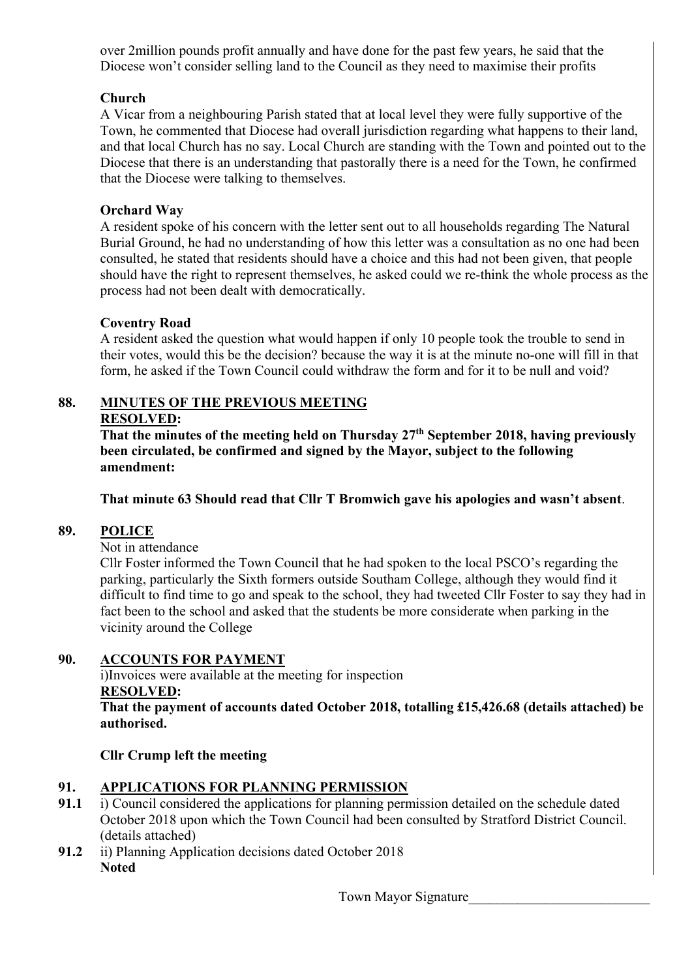over 2million pounds profit annually and have done for the past few years, he said that the Diocese won't consider selling land to the Council as they need to maximise their profits

# **Church**

A Vicar from a neighbouring Parish stated that at local level they were fully supportive of the Town, he commented that Diocese had overall jurisdiction regarding what happens to their land, and that local Church has no say. Local Church are standing with the Town and pointed out to the Diocese that there is an understanding that pastorally there is a need for the Town, he confirmed that the Diocese were talking to themselves.

# **Orchard Way**

A resident spoke of his concern with the letter sent out to all households regarding The Natural Burial Ground, he had no understanding of how this letter was a consultation as no one had been consulted, he stated that residents should have a choice and this had not been given, that people should have the right to represent themselves, he asked could we re-think the whole process as the process had not been dealt with democratically.

# **Coventry Road**

A resident asked the question what would happen if only 10 people took the trouble to send in their votes, would this be the decision? because the way it is at the minute no-one will fill in that form, he asked if the Town Council could withdraw the form and for it to be null and void?

# **88. MINUTES OF THE PREVIOUS MEETING**

# **RESOLVED:**

**That the minutes of the meeting held on Thursday 27th September 2018, having previously been circulated, be confirmed and signed by the Mayor, subject to the following amendment:** 

**That minute 63 Should read that Cllr T Bromwich gave his apologies and wasn't absent**.

# **89. POLICE**

Not in attendance

 Cllr Foster informed the Town Council that he had spoken to the local PSCO's regarding the parking, particularly the Sixth formers outside Southam College, although they would find it difficult to find time to go and speak to the school, they had tweeted Cllr Foster to say they had in fact been to the school and asked that the students be more considerate when parking in the vicinity around the College

# **90. ACCOUNTS FOR PAYMENT**

 i)Invoices were available at the meeting for inspection **RESOLVED:** 

**That the payment of accounts dated October 2018, totalling £15,426.68 (details attached) be authorised.** 

# **Cllr Crump left the meeting**

# **91. APPLICATIONS FOR PLANNING PERMISSION**

- **91.1** i) Council considered the applications for planning permission detailed on the schedule dated October 2018 upon which the Town Council had been consulted by Stratford District Council. (details attached)
- **91.2** ii) Planning Application decisions dated October 2018 **Noted**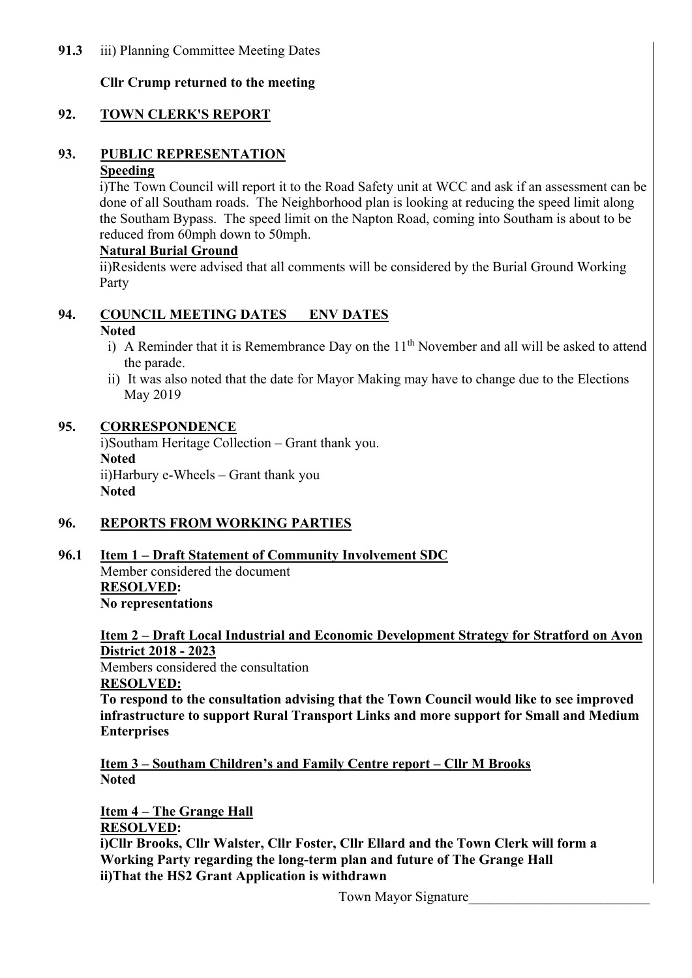# **Cllr Crump returned to the meeting**

# **92. TOWN CLERK'S REPORT**

# **93. PUBLIC REPRESENTATION**

# **Speeding**

i)The Town Council will report it to the Road Safety unit at WCC and ask if an assessment can be done of all Southam roads. The Neighborhood plan is looking at reducing the speed limit along the Southam Bypass. The speed limit on the Napton Road, coming into Southam is about to be reduced from 60mph down to 50mph.

#### **Natural Burial Ground**

ii)Residents were advised that all comments will be considered by the Burial Ground Working Party

#### **94. COUNCIL MEETING DATES ENV DATES Noted**

- i) A Reminder that it is Remembrance Day on the  $11<sup>th</sup>$  November and all will be asked to attend the parade.
- ii) It was also noted that the date for Mayor Making may have to change due to the Elections May 2019

#### **95. CORRESPONDENCE**

i)Southam Heritage Collection – Grant thank you. **Noted**  ii)Harbury e-Wheels – Grant thank you **Noted** 

# **96. REPORTS FROM WORKING PARTIES**

 **96.1 Item 1 – Draft Statement of Community Involvement SDC** 

 Member considered the document  **RESOLVED: No representations** 

 **Item 2 – Draft Local Industrial and Economic Development Strategy for Stratford on Avon District 2018 - 2023** 

 Members considered the consultation  **RESOLVED:** 

 **To respond to the consultation advising that the Town Council would like to see improved infrastructure to support Rural Transport Links and more support for Small and Medium Enterprises** 

 **Item 3 – Southam Children's and Family Centre report – Cllr M Brooks Noted** 

 **Item 4 – The Grange Hall RESOLVED: i)Cllr Brooks, Cllr Walster, Cllr Foster, Cllr Ellard and the Town Clerk will form a Working Party regarding the long-term plan and future of The Grange Hall ii)That the HS2 Grant Application is withdrawn**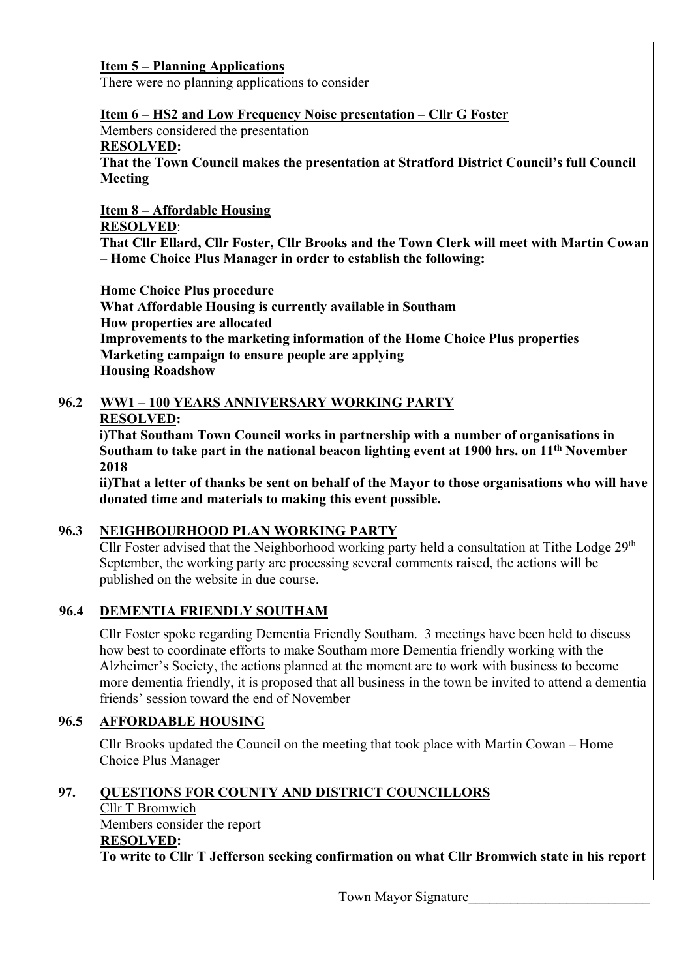#### **Item 5 – Planning Applications**

There were no planning applications to consider

#### **Item 6 – HS2 and Low Frequency Noise presentation – Cllr G Foster**

Members considered the presentation

#### **RESOLVED:**

 **That the Town Council makes the presentation at Stratford District Council's full Council Meeting** 

## **Item 8 – Affordable Housing**

# **RESOLVED**:

 **That Cllr Ellard, Cllr Foster, Cllr Brooks and the Town Clerk will meet with Martin Cowan – Home Choice Plus Manager in order to establish the following:** 

 **Home Choice Plus procedure What Affordable Housing is currently available in Southam How properties are allocated Improvements to the marketing information of the Home Choice Plus properties Marketing campaign to ensure people are applying Housing Roadshow** 

# **96.2 WW1 – 100 YEARS ANNIVERSARY WORKING PARTY**

#### **RESOLVED:**

**i)That Southam Town Council works in partnership with a number of organisations in**  Southam to take part in the national beacon lighting event at 1900 hrs. on 11<sup>th</sup> November **2018** 

**ii)That a letter of thanks be sent on behalf of the Mayor to those organisations who will have donated time and materials to making this event possible.** 

# **96.3 NEIGHBOURHOOD PLAN WORKING PARTY**

Cllr Foster advised that the Neighborhood working party held a consultation at Tithe Lodge 29<sup>th</sup> September, the working party are processing several comments raised, the actions will be published on the website in due course.

# **96.4 DEMENTIA FRIENDLY SOUTHAM**

Cllr Foster spoke regarding Dementia Friendly Southam. 3 meetings have been held to discuss how best to coordinate efforts to make Southam more Dementia friendly working with the Alzheimer's Society, the actions planned at the moment are to work with business to become more dementia friendly, it is proposed that all business in the town be invited to attend a dementia friends' session toward the end of November

#### **96.5 AFFORDABLE HOUSING**

Cllr Brooks updated the Council on the meeting that took place with Martin Cowan – Home Choice Plus Manager

# **97. QUESTIONS FOR COUNTY AND DISTRICT COUNCILLORS**

 Cllr T Bromwich Members consider the report **RESOLVED: To write to Cllr T Jefferson seeking confirmation on what Cllr Bromwich state in his report**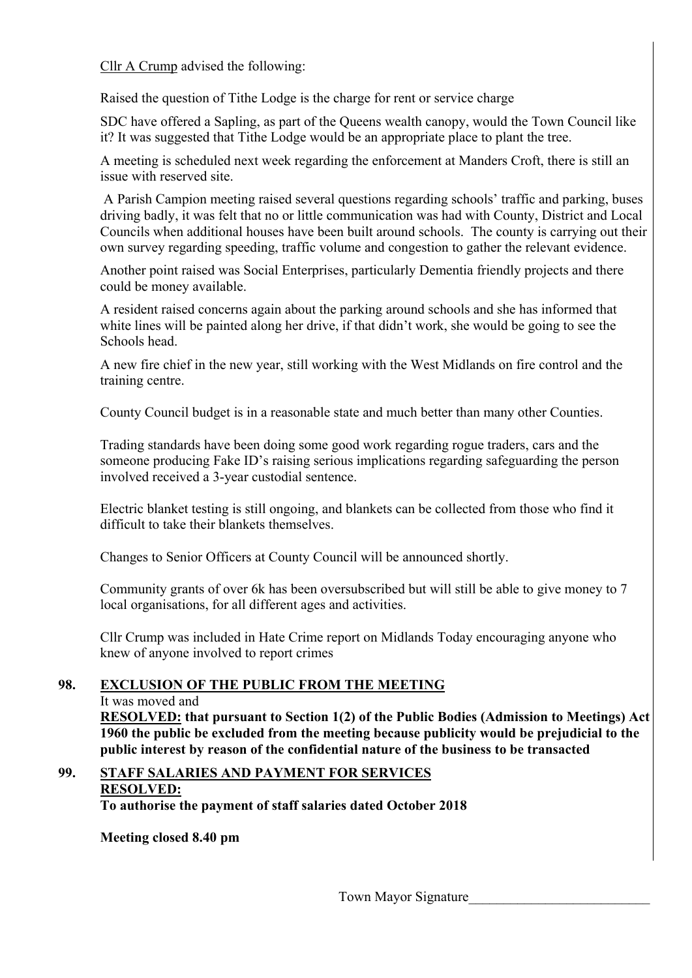Cllr A Crump advised the following:

Raised the question of Tithe Lodge is the charge for rent or service charge

 SDC have offered a Sapling, as part of the Queens wealth canopy, would the Town Council like it? It was suggested that Tithe Lodge would be an appropriate place to plant the tree.

 A meeting is scheduled next week regarding the enforcement at Manders Croft, there is still an issue with reserved site.

 A Parish Campion meeting raised several questions regarding schools' traffic and parking, buses driving badly, it was felt that no or little communication was had with County, District and Local Councils when additional houses have been built around schools. The county is carrying out their own survey regarding speeding, traffic volume and congestion to gather the relevant evidence.

Another point raised was Social Enterprises, particularly Dementia friendly projects and there could be money available.

A resident raised concerns again about the parking around schools and she has informed that white lines will be painted along her drive, if that didn't work, she would be going to see the Schools head.

 A new fire chief in the new year, still working with the West Midlands on fire control and the training centre.

County Council budget is in a reasonable state and much better than many other Counties.

Trading standards have been doing some good work regarding rogue traders, cars and the someone producing Fake ID's raising serious implications regarding safeguarding the person involved received a 3-year custodial sentence.

Electric blanket testing is still ongoing, and blankets can be collected from those who find it difficult to take their blankets themselves.

Changes to Senior Officers at County Council will be announced shortly.

Community grants of over 6k has been oversubscribed but will still be able to give money to 7 local organisations, for all different ages and activities.

Cllr Crump was included in Hate Crime report on Midlands Today encouraging anyone who knew of anyone involved to report crimes

# **98. EXCLUSION OF THE PUBLIC FROM THE MEETING**

It was moved and

**RESOLVED: that pursuant to Section 1(2) of the Public Bodies (Admission to Meetings) Act 1960 the public be excluded from the meeting because publicity would be prejudicial to the public interest by reason of the confidential nature of the business to be transacted** 

#### **99. STAFF SALARIES AND PAYMENT FOR SERVICES RESOLVED:**

 **To authorise the payment of staff salaries dated October 2018** 

 **Meeting closed 8.40 pm**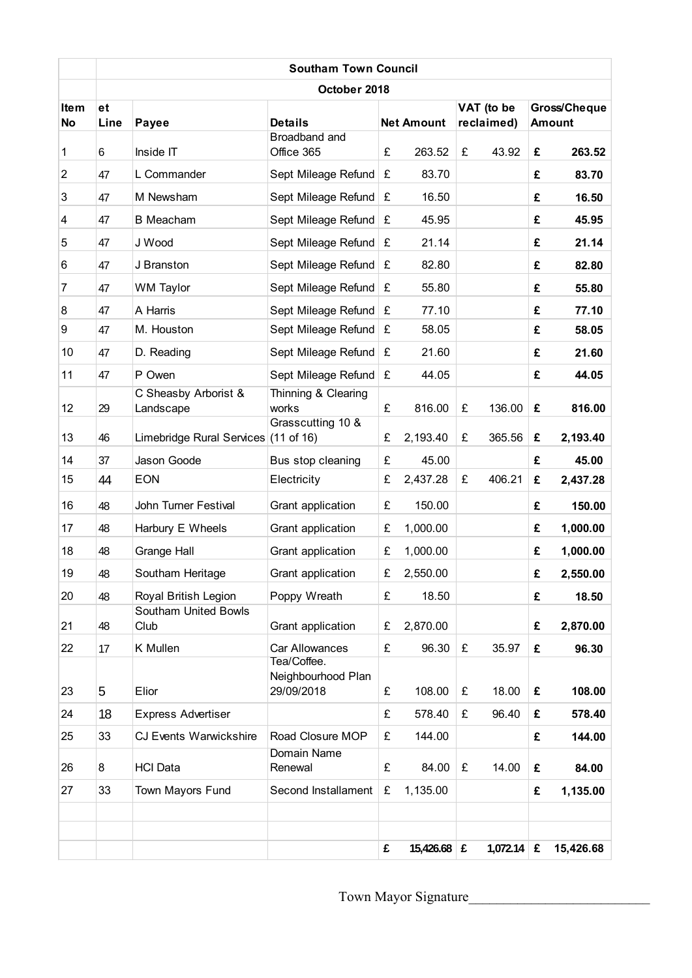|                          |            |                                      | <b>Southam Town Council</b>                     |   |                   |   |                          |   |                               |  |
|--------------------------|------------|--------------------------------------|-------------------------------------------------|---|-------------------|---|--------------------------|---|-------------------------------|--|
| October 2018             |            |                                      |                                                 |   |                   |   |                          |   |                               |  |
| <b>Item</b><br><b>No</b> | et<br>Line | Payee                                | <b>Details</b>                                  |   | <b>Net Amount</b> |   | VAT (to be<br>reclaimed) |   | Gross/Cheque<br><b>Amount</b> |  |
| 1                        | 6          | Inside IT                            | Broadband and<br>Office 365                     | £ | 263.52            | £ | 43.92                    | £ | 263.52                        |  |
| $\overline{2}$           | 47         | L Commander                          | Sept Mileage Refund                             | £ | 83.70             |   |                          | £ | 83.70                         |  |
| 3                        | 47         | M Newsham                            | Sept Mileage Refund                             | £ | 16.50             |   |                          | £ | 16.50                         |  |
| 4                        | 47         | <b>B</b> Meacham                     | Sept Mileage Refund                             | £ | 45.95             |   |                          | £ | 45.95                         |  |
| 5                        | 47         | J Wood                               | Sept Mileage Refund                             | £ | 21.14             |   |                          | £ | 21.14                         |  |
| 6                        | 47         | J Branston                           | Sept Mileage Refund                             | £ | 82.80             |   |                          | £ | 82.80                         |  |
| 7                        | 47         | <b>WM Taylor</b>                     | Sept Mileage Refund                             | £ | 55.80             |   |                          | £ | 55.80                         |  |
| 8                        | 47         | A Harris                             | Sept Mileage Refund                             | £ | 77.10             |   |                          | £ | 77.10                         |  |
| 9                        | 47         | M. Houston                           | Sept Mileage Refund                             | £ | 58.05             |   |                          | £ | 58.05                         |  |
| 10                       | 47         | D. Reading                           | Sept Mileage Refund                             | £ | 21.60             |   |                          | £ | 21.60                         |  |
| 11                       | 47         | P Owen                               | Sept Mileage Refund                             | £ | 44.05             |   |                          | £ | 44.05                         |  |
| 12                       | 29         | C Sheasby Arborist &<br>Landscape    | Thinning & Clearing<br>works                    | £ | 816.00            | £ | 136.00                   | £ | 816.00                        |  |
| 13                       | 46         | Limebridge Rural Services (11 of 16) | Grasscutting 10 &                               | £ | 2,193.40          | £ | 365.56                   | £ | 2,193.40                      |  |
| 14                       | 37         | Jason Goode                          | Bus stop cleaning                               | £ | 45.00             |   |                          | £ | 45.00                         |  |
| 15                       | 44         | <b>EON</b>                           | Electricity                                     | £ | 2,437.28          | £ | 406.21                   | £ | 2,437.28                      |  |
| 16                       | 48         | John Turner Festival                 | Grant application                               | £ | 150.00            |   |                          | £ | 150.00                        |  |
| 17                       | 48         | Harbury E Wheels                     | Grant application                               | £ | 1,000.00          |   |                          | £ | 1,000.00                      |  |
| 18                       | 48         | <b>Grange Hall</b>                   | Grant application                               | £ | 1,000.00          |   |                          | £ | 1,000.00                      |  |
| 19                       | 48         | Southam Heritage                     | Grant application                               | £ | 2,550.00          |   |                          | £ | 2,550.00                      |  |
| 20                       | 48         | Royal British Legion                 | Poppy Wreath                                    | £ | 18.50             |   |                          | £ | 18.50                         |  |
| 21                       | 48         | <b>Southam United Bowls</b><br>Club  | Grant application                               | £ | 2,870.00          |   |                          | £ | 2,870.00                      |  |
| 22                       | 17         | K Mullen                             | <b>Car Allowances</b>                           | £ | 96.30             | £ | 35.97                    | £ | 96.30                         |  |
| 23                       | 5          | Elior                                | Tea/Coffee.<br>Neighbourhood Plan<br>29/09/2018 | £ | 108.00            | £ | 18.00                    | £ | 108.00                        |  |
| 24                       | 18         | <b>Express Advertiser</b>            |                                                 | £ | 578.40            | £ | 96.40                    | £ | 578.40                        |  |
| 25                       | 33         | <b>CJ Events Warwickshire</b>        | Road Closure MOP                                | £ | 144.00            |   |                          | £ | 144.00                        |  |
| 26                       | 8          | <b>HCI Data</b>                      | Domain Name<br>Renewal                          | £ | 84.00             | £ | 14.00                    | £ | 84.00                         |  |
| 27                       | 33         | Town Mayors Fund                     | Second Installament                             | £ | 1,135.00          |   |                          | £ | 1,135.00                      |  |
|                          |            |                                      |                                                 |   |                   |   |                          |   |                               |  |
|                          |            |                                      |                                                 | £ | $15,426.68$ $E$   |   | 1,072.14   £             |   | 15,426.68                     |  |

Town Mayor Signature\_\_\_\_\_\_\_\_\_\_\_\_\_\_\_\_\_\_\_\_\_\_\_\_\_\_